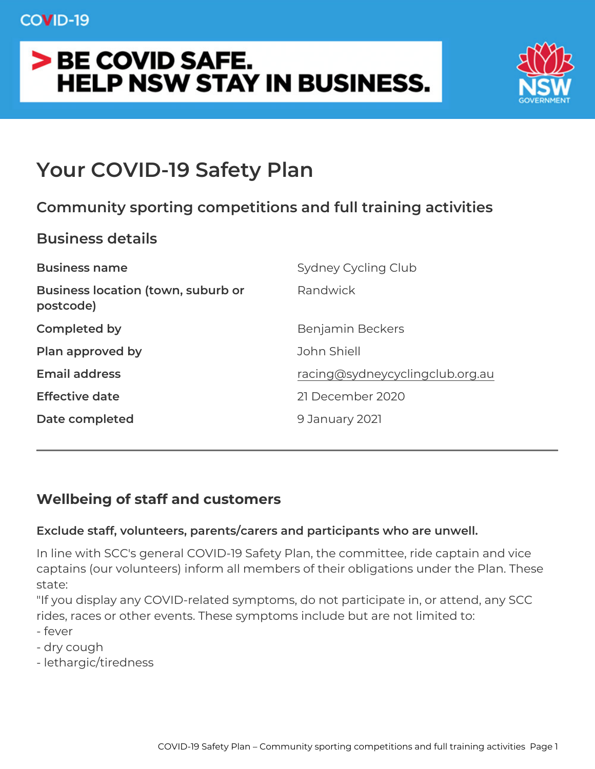# Your COVID-19 Safety Plan

Community sporting competitions and full training act Business details Business name Sydney Cycling Club Business location (town, suburb Randwick postcode) Completed by Benjamin Beckers Plan approved by John Shiell Email address [racing@sydneycyclingcl](mailto:racing@sydneycyclingclub.org.au)ub.org.au Effective date 21 December 2020 Date completed 9 January 2021

Wellbeing of staff and customers

Exclude staff, volunteers, parents/carers and participants who are

In line with SCC's general COVID-19 Safety Plan, the committee, r captains (our volunteers) inform all members of their obligations u state:

"If you display any COVID-related symptoms, do not participate in, rides, races or other events. These symptoms include but are not I - fever

- dry cough
- lethargic/tiredness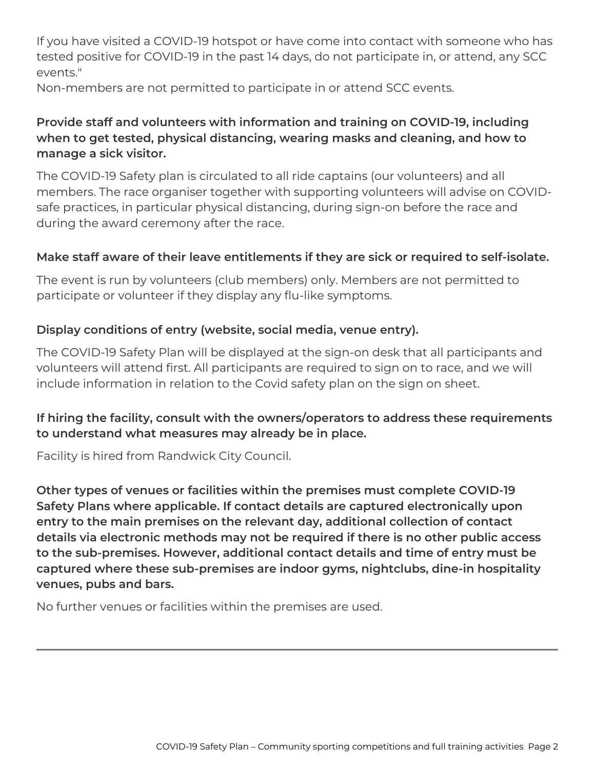If you have visited a COVID-19 hotspot or have come into contact with someone who has tested positive for COVID-19 in the past 14 days, do not participate in, or attend, any SCC events."

Non-members are not permitted to participate in or attend SCC events.

### **Provide staff and volunteers with information and training on COVID-19, including when to get tested, physical distancing, wearing masks and cleaning, and how to manage a sick visitor.**

The COVID-19 Safety plan is circulated to all ride captains (our volunteers) and all members. The race organiser together with supporting volunteers will advise on COVIDsafe practices, in particular physical distancing, during sign-on before the race and during the award ceremony after the race.

### **Make staff aware of their leave entitlements if they are sick or required to self-isolate.**

The event is run by volunteers (club members) only. Members are not permitted to participate or volunteer if they display any flu-like symptoms.

### **Display conditions of entry (website, social media, venue entry).**

The COVID-19 Safety Plan will be displayed at the sign-on desk that all participants and volunteers will attend first. All participants are required to sign on to race, and we will include information in relation to the Covid safety plan on the sign on sheet.

### **If hiring the facility, consult with the owners/operators to address these requirements to understand what measures may already be in place.**

Facility is hired from Randwick City Council.

**Other types of venues or facilities within the premises must complete COVID-19 Safety Plans where applicable. If contact details are captured electronically upon entry to the main premises on the relevant day, additional collection of contact details via electronic methods may not be required if there is no other public access to the sub-premises. However, additional contact details and time of entry must be captured where these sub-premises are indoor gyms, nightclubs, dine-in hospitality venues, pubs and bars.**

No further venues or facilities within the premises are used.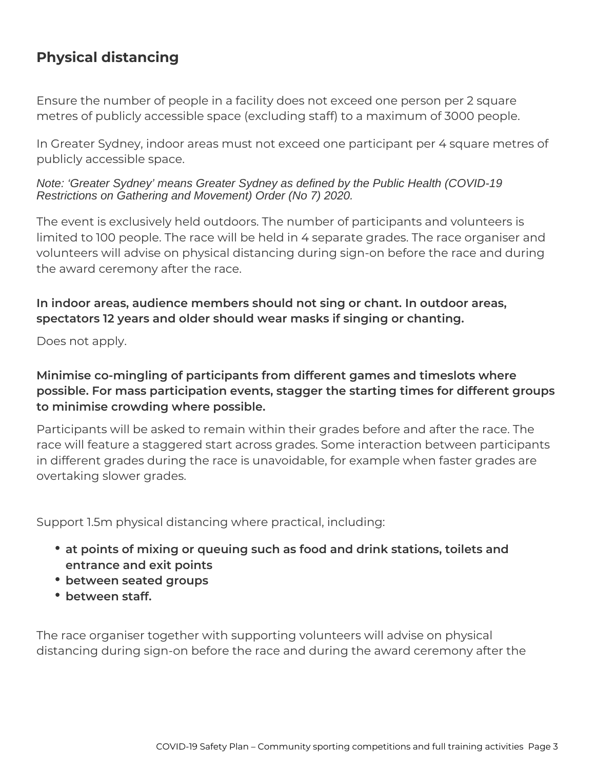# **Physical distancing**

Ensure the number of people in a facility does not exceed one person per 2 square metres of publicly accessible space (excluding staff) to a maximum of 3000 people.

In Greater Sydney, indoor areas must not exceed one participant per 4 square metres of publicly accessible space.

Note: 'Greater Sydney' means Greater Sydney as defined by the Public Health (COVID-19 Restrictions on Gathering and Movement) Order (No 7) 2020.

The event is exclusively held outdoors. The number of participants and volunteers is limited to 100 people. The race will be held in 4 separate grades. The race organiser and volunteers will advise on physical distancing during sign-on before the race and during the award ceremony after the race.

### **In indoor areas, audience members should not sing or chant. In outdoor areas, spectators 12 years and older should wear masks if singing or chanting.**

Does not apply.

# **Minimise co-mingling of participants from different games and timeslots where possible. For mass participation events, stagger the starting times for different groups to minimise crowding where possible.**

Participants will be asked to remain within their grades before and after the race. The race will feature a staggered start across grades. Some interaction between participants in different grades during the race is unavoidable, for example when faster grades are overtaking slower grades.

Support 1.5m physical distancing where practical, including:

- **at points of mixing or queuing such as food and drink stations, toilets and entrance and exit points**
- **between seated groups**
- **between staff.**

The race organiser together with supporting volunteers will advise on physical distancing during sign-on before the race and during the award ceremony after the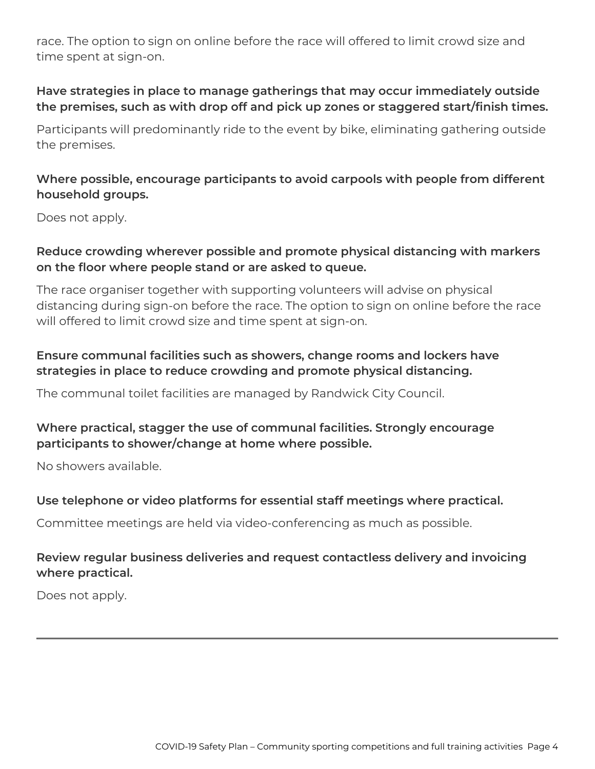race. The option to sign on online before the race will offered to limit crowd size and time spent at sign-on.

### **Have strategies in place to manage gatherings that may occur immediately outside the premises, such as with drop off and pick up zones or staggered start/finish times.**

Participants will predominantly ride to the event by bike, eliminating gathering outside the premises.

### **Where possible, encourage participants to avoid carpools with people from different household groups.**

Does not apply.

### **Reduce crowding wherever possible and promote physical distancing with markers on the floor where people stand or are asked to queue.**

The race organiser together with supporting volunteers will advise on physical distancing during sign-on before the race. The option to sign on online before the race will offered to limit crowd size and time spent at sign-on.

# **Ensure communal facilities such as showers, change rooms and lockers have strategies in place to reduce crowding and promote physical distancing.**

The communal toilet facilities are managed by Randwick City Council.

### **Where practical, stagger the use of communal facilities. Strongly encourage participants to shower/change at home where possible.**

No showers available.

### **Use telephone or video platforms for essential staff meetings where practical.**

Committee meetings are held via video-conferencing as much as possible.

### **Review regular business deliveries and request contactless delivery and invoicing where practical.**

Does not apply.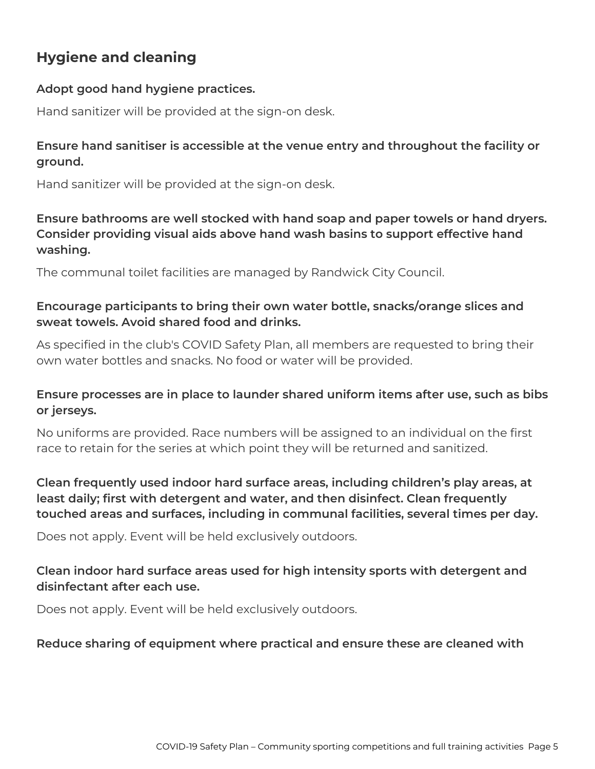# **Hygiene and cleaning**

### **Adopt good hand hygiene practices.**

Hand sanitizer will be provided at the sign-on desk.

### **Ensure hand sanitiser is accessible at the venue entry and throughout the facility or ground.**

Hand sanitizer will be provided at the sign-on desk.

**Ensure bathrooms are well stocked with hand soap and paper towels or hand dryers. Consider providing visual aids above hand wash basins to support effective hand washing.**

The communal toilet facilities are managed by Randwick City Council.

### **Encourage participants to bring their own water bottle, snacks/orange slices and sweat towels. Avoid shared food and drinks.**

As specified in the club's COVID Safety Plan, all members are requested to bring their own water bottles and snacks. No food or water will be provided.

### **Ensure processes are in place to launder shared uniform items after use, such as bibs or jerseys.**

No uniforms are provided. Race numbers will be assigned to an individual on the first race to retain for the series at which point they will be returned and sanitized.

**Clean frequently used indoor hard surface areas, including children's play areas, at least daily; first with detergent and water, and then disinfect. Clean frequently touched areas and surfaces, including in communal facilities, several times per day.**

Does not apply. Event will be held exclusively outdoors.

### **Clean indoor hard surface areas used for high intensity sports with detergent and disinfectant after each use.**

Does not apply. Event will be held exclusively outdoors.

### **Reduce sharing of equipment where practical and ensure these are cleaned with**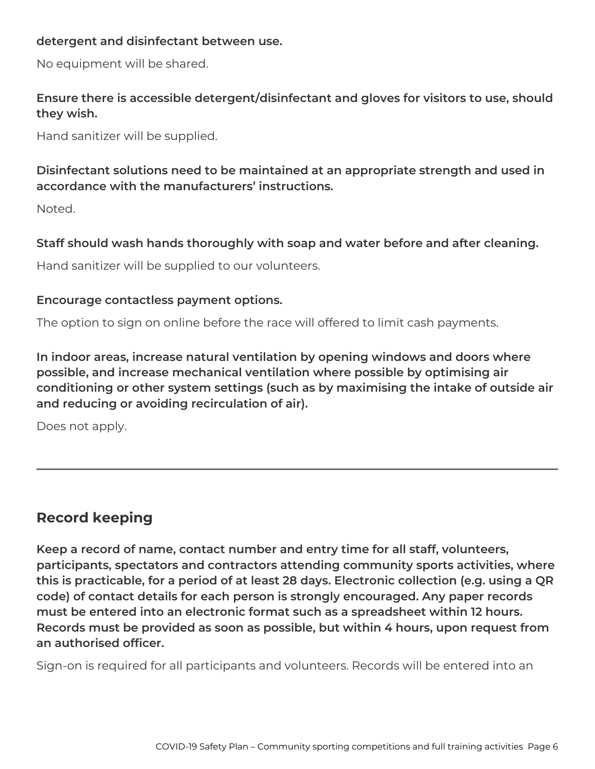#### **detergent and disinfectant between use.**

No equipment will be shared.

**Ensure there is accessible detergent/disinfectant and gloves for visitors to use, should they wish.**

Hand sanitizer will be supplied.

**Disinfectant solutions need to be maintained at an appropriate strength and used in accordance with the manufacturers' instructions.**

Noted.

**Staff should wash hands thoroughly with soap and water before and after cleaning.**

Hand sanitizer will be supplied to our volunteers.

#### **Encourage contactless payment options.**

The option to sign on online before the race will offered to limit cash payments.

**In indoor areas, increase natural ventilation by opening windows and doors where possible, and increase mechanical ventilation where possible by optimising air conditioning or other system settings (such as by maximising the intake of outside air and reducing or avoiding recirculation of air).**

Does not apply.

# **Record keeping**

**Keep a record of name, contact number and entry time for all staff, volunteers, participants, spectators and contractors attending community sports activities, where this is practicable, for a period of at least 28 days. Electronic collection (e.g. using a QR code) of contact details for each person is strongly encouraged. Any paper records must be entered into an electronic format such as a spreadsheet within 12 hours. Records must be provided as soon as possible, but within 4 hours, upon request from an authorised officer.**

Sign-on is required for all participants and volunteers. Records will be entered into an